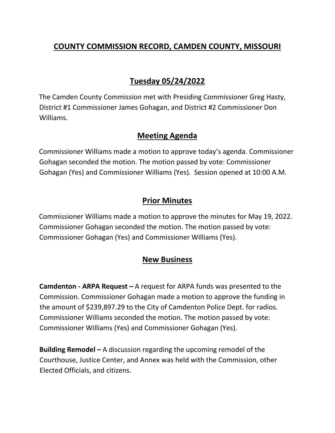# **COUNTY COMMISSION RECORD, CAMDEN COUNTY, MISSOURI**

# **Tuesday 05/24/2022**

The Camden County Commission met with Presiding Commissioner Greg Hasty, District #1 Commissioner James Gohagan, and District #2 Commissioner Don Williams.

### **Meeting Agenda**

Commissioner Williams made a motion to approve today's agenda. Commissioner Gohagan seconded the motion. The motion passed by vote: Commissioner Gohagan (Yes) and Commissioner Williams (Yes). Session opened at 10:00 A.M.

## **Prior Minutes**

Commissioner Williams made a motion to approve the minutes for May 19, 2022. Commissioner Gohagan seconded the motion. The motion passed by vote: Commissioner Gohagan (Yes) and Commissioner Williams (Yes).

### **New Business**

**Camdenton - ARPA Request –** A request for ARPA funds was presented to the Commission. Commissioner Gohagan made a motion to approve the funding in the amount of \$239,897.29 to the City of Camdenton Police Dept. for radios. Commissioner Williams seconded the motion. The motion passed by vote: Commissioner Williams (Yes) and Commissioner Gohagan (Yes).

**Building Remodel –** A discussion regarding the upcoming remodel of the Courthouse, Justice Center, and Annex was held with the Commission, other Elected Officials, and citizens.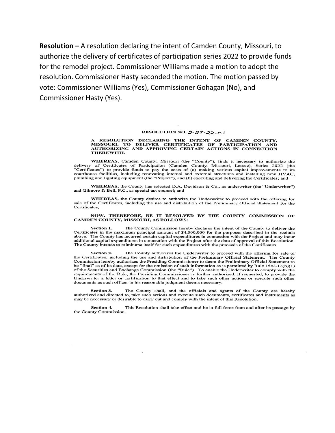**Resolution –** A resolution declaring the intent of Camden County, Missouri, to authorize the delivery of certificates of participation series 2022 to provide funds for the remodel project. Commissioner Williams made a motion to adopt the resolution. Commissioner Hasty seconded the motion. The motion passed by vote: Commissioner Williams (Yes), Commissioner Gohagan (No), and **Commissioner Hasty (Yes).** 

#### RESOLUTION NO.  $\angle 2\angle 22 - 01$

#### A RESOLUTION DECLARING THE INTENT OF CAMDEN COUNTY,<br>MISSOURI, TO DELIVER CERTIFICATES OF PARTICIPATION AND<br>AUTHORIZING AND APPROVING CERTAIN ACTIONS IN CONNECTION THEREWITH.

WHEREAS, Camden County, Missouri (the "County"), finds it necessary to authorize the WHEREAS, Canuell County, Missouri (the County ), thus a necessary of members and<br>delivery of Certificates of Participation (Camden County, Missouri, Lessee), Series 2022 (the<br>"Certificates") to provide funds to pay the cos courthouse facilities, including renovating internal and external structures and installing new HVAC, plumbing and lighting equipment (the "Project"), and (b) executing and delivering the Certificates; and

WHEREAS, the County has selected D.A. Davidson & Co., as underwriter (the "Underwriter") and Gilmore & Bell, P.C., as special tax counsel; and

WHEREAS, the County desires to authorize the Underwriter to proceed with the offering for sale of the Certificates, including the use and distribution of the Preliminary Official Statement for the Certificates:

#### NOW, THEREFORE, BE IT RESOLVED BY THE COUNTY COMMISSION OF CAMDEN COUNTY, MISSOURI, AS FOLLOWS:

The County Commission hereby declares the intent of the County to deliver the Section 1. Certificates in the maximum principal amount of \$4,000,000 for the purposes described in the recitals above. The County has incurred certain capital expenditures in connection with the Project and may incur additional capital expenditures in connection with the Project after the date of approval of this Resolution. The County intends to reimburse itself for such expenditures with the proceeds of the Certificates.

The County authorizes the Underwriter to proceed with the offering for sale of **Section 2.** Extricted in the Certificates, including the use and distribution of the Preliminary Official Statement. The County<br>Commission hereby authorizes the Presiding Commissioner to deem the Preliminary Official Statement to be "final" as of its date, except for the omission of such information as is permitted by Rule  $15c2-12(b)(1)$ of the Securities and Exchange Commission (the "Rule"). To enable the Underwriter to comply with the requirements of the Rule, the Presiding Commissioner is further authorized, if requested, to provide the Underwriter a letter or certification to that effect and to take such other actions or execute such other documents as such officer in his reasonable judgment deems necessary.

The County shall, and the officials and agents of the County are hereby Section 3. authorized and directed to, take such actions and execute such documents, certificates and instruments as may be necessary or desirable to carry out and comply with the intent of this Resolution.

This Resolution shall take effect and be in full force from and after its passage by Section 4. the County Commission.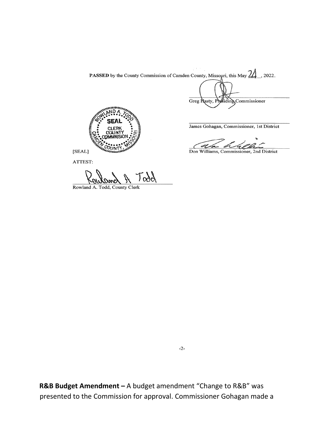PASSED by the County Commission of Camden County, Missouri, this May 2022.

Greg Nasty, Phyliding Commissioner



James Gohagan, Commissioner, 1st District

Don Williams, Commissioner, 2nd District

ATTEST:

ooc

Rowland A. Todd, County Clerk

 $-2-$ 

R&B Budget Amendment - A budget amendment "Change to R&B" was presented to the Commission for approval. Commissioner Gohagan made a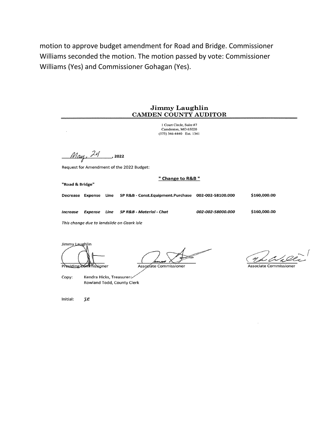motion to approve budget amendment for Road and Bridge. Commissioner Williams seconded the motion. The motion passed by vote: Commissioner Williams (Yes) and Commissioner Gohagan (Yes).

#### **Jimmy Laughlin** CAMDEN COUNTY AUDITOR

1 Court Circle, Suite #7 Camdenton, MO 65020 (573) 346-4440 Ext. 1341

 $M_{\alpha\alpha}$ , 24  $\overline{\phantom{0}}$  2022

Request for Amendment of the 2022 Budget:

"Road & Bridge"

" Change to R&B "

SP R&B - Const.Equipment.Purchase 002-002-58100.000 Decrease Expense Line

SP R&B - Material - Chat Increase Expense Line

002-002-58000.000

\$160,000.00

\$160,000.00

This change due to landslide on Ozark Isle

Jimmy Laughlin

Presiding Commissioner

Kendra Hicks, Treasurer Copy: Rowland Todd, County Clerk

Associate Commissioner

**Associate Commissioner** 

Initial:  $\mathcal{L}$